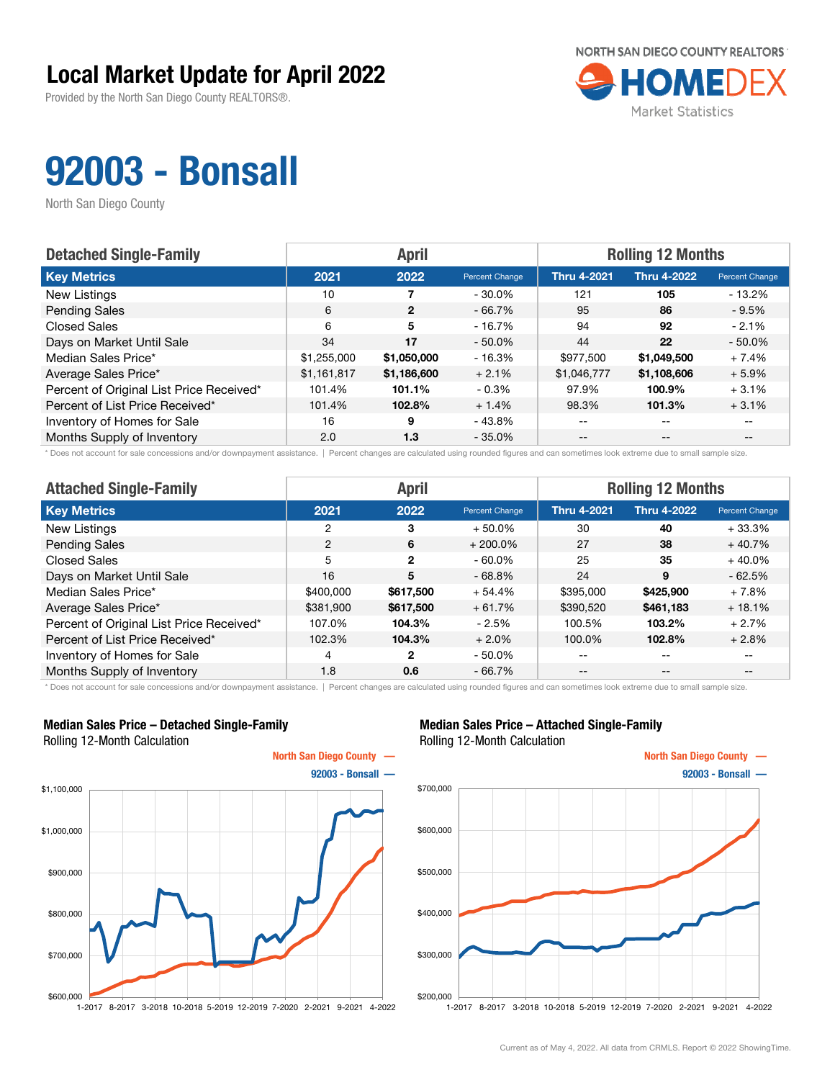Provided by the North San Diego County REALTORS®.



## 92003 - Bonsall

North San Diego County

| <b>Detached Single-Family</b>            |             | <b>April</b> |                | <b>Rolling 12 Months</b> |                    |                       |  |
|------------------------------------------|-------------|--------------|----------------|--------------------------|--------------------|-----------------------|--|
| <b>Key Metrics</b>                       | 2021        | 2022         | Percent Change | <b>Thru 4-2021</b>       | <b>Thru 4-2022</b> | <b>Percent Change</b> |  |
| New Listings                             | 10          |              | $-30.0\%$      | 121                      | 105                | $-13.2\%$             |  |
| <b>Pending Sales</b>                     | 6           | $\mathbf{2}$ | $-66.7\%$      | 95                       | 86                 | $-9.5\%$              |  |
| <b>Closed Sales</b>                      | 6           | 5            | $-16.7%$       | 94                       | 92                 | $-2.1%$               |  |
| Days on Market Until Sale                | 34          | 17           | $-50.0\%$      | 44                       | 22                 | $-50.0%$              |  |
| Median Sales Price*                      | \$1,255,000 | \$1,050,000  | $-16.3%$       | \$977.500                | \$1,049,500        | $+7.4%$               |  |
| Average Sales Price*                     | \$1,161,817 | \$1,186,600  | $+2.1%$        | \$1,046,777              | \$1,108,606        | $+5.9%$               |  |
| Percent of Original List Price Received* | 101.4%      | 101.1%       | $-0.3%$        | 97.9%                    | 100.9%             | $+3.1%$               |  |
| Percent of List Price Received*          | 101.4%      | 102.8%       | $+1.4%$        | 98.3%                    | 101.3%             | $+3.1%$               |  |
| Inventory of Homes for Sale              | 16          | 9            | - 43.8%        | $- -$                    | $-$                | $- -$                 |  |
| Months Supply of Inventory               | 2.0         | 1.3          | $-35.0\%$      | $- -$                    | $- -$              |                       |  |

\* Does not account for sale concessions and/or downpayment assistance. | Percent changes are calculated using rounded figures and can sometimes look extreme due to small sample size.

| <b>Attached Single-Family</b>            |           | <b>April</b>   |                | <b>Rolling 12 Months</b> |                    |                |  |
|------------------------------------------|-----------|----------------|----------------|--------------------------|--------------------|----------------|--|
| <b>Key Metrics</b>                       | 2021      | 2022           | Percent Change | <b>Thru 4-2021</b>       | <b>Thru 4-2022</b> | Percent Change |  |
| <b>New Listings</b>                      | 2         | 3              | $+50.0\%$      | 30                       | 40                 | $+33.3%$       |  |
| <b>Pending Sales</b>                     | 2         | 6              | $+200.0\%$     | 27                       | 38                 | $+40.7%$       |  |
| <b>Closed Sales</b>                      | 5         | $\overline{2}$ | $-60.0\%$      | 25                       | 35                 | $+40.0%$       |  |
| Days on Market Until Sale                | 16        | 5              | $-68.8%$       | 24                       | 9                  | $-62.5%$       |  |
| Median Sales Price*                      | \$400,000 | \$617,500      | $+54.4%$       | \$395,000                | \$425,900          | + 7.8%         |  |
| Average Sales Price*                     | \$381,900 | \$617,500      | $+61.7%$       | \$390,520                | \$461,183          | $+18.1%$       |  |
| Percent of Original List Price Received* | 107.0%    | 104.3%         | - 2.5%         | 100.5%                   | 103.2%             | $+2.7%$        |  |
| Percent of List Price Received*          | 102.3%    | 104.3%         | $+2.0%$        | 100.0%                   | 102.8%             | $+2.8%$        |  |
| Inventory of Homes for Sale              | 4         | 2              | $-50.0\%$      | --                       | $\qquad \qquad -$  | $- -$          |  |
| Months Supply of Inventory               | 1.8       | 0.6            | $-66.7%$       | $- -$                    | $\qquad \qquad -$  | $- -$          |  |

\* Does not account for sale concessions and/or downpayment assistance. | Percent changes are calculated using rounded figures and can sometimes look extreme due to small sample size.

#### Median Sales Price – Detached Single-Family Rolling 12-Month Calculation



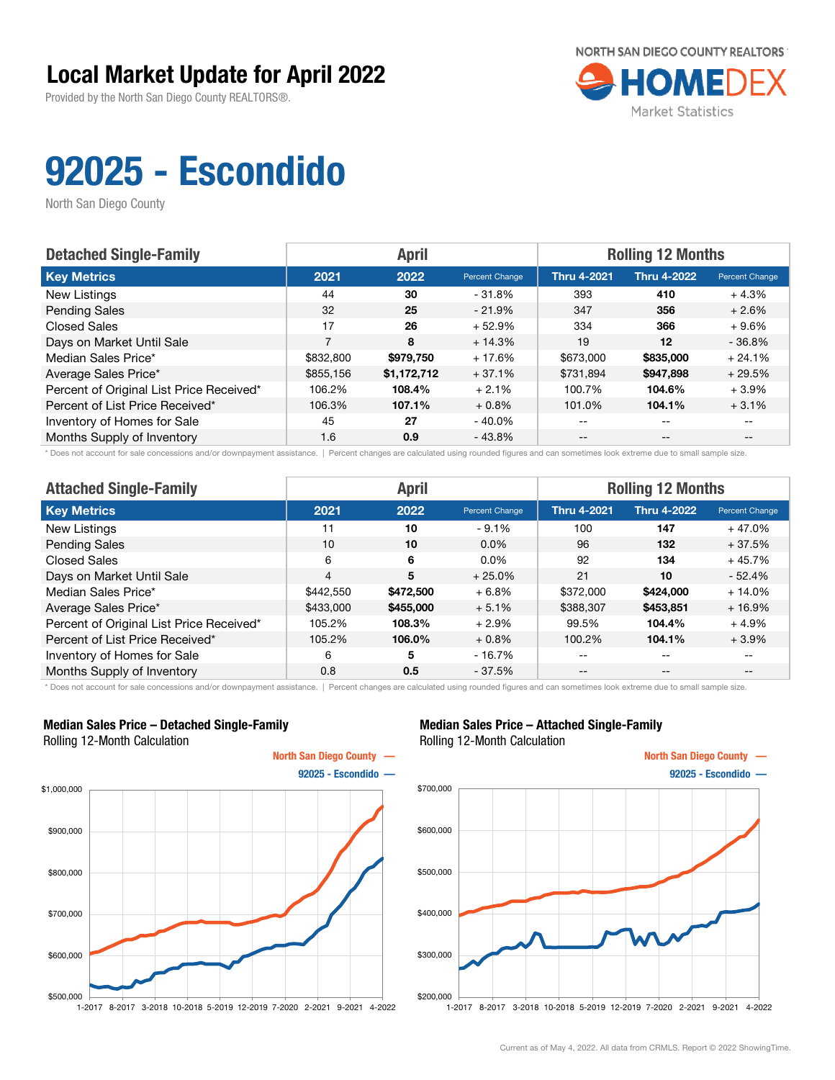Provided by the North San Diego County REALTORS®.



# 92025 - Escondido

North San Diego County

| <b>Detached Single-Family</b>            |           | <b>April</b> |                | <b>Rolling 12 Months</b> |                    |                       |  |
|------------------------------------------|-----------|--------------|----------------|--------------------------|--------------------|-----------------------|--|
| <b>Key Metrics</b>                       | 2021      | 2022         | Percent Change | <b>Thru 4-2021</b>       | <b>Thru 4-2022</b> | <b>Percent Change</b> |  |
| New Listings                             | 44        | 30           | $-31.8%$       | 393                      | 410                | $+4.3%$               |  |
| <b>Pending Sales</b>                     | 32        | 25           | $-21.9%$       | 347                      | 356                | $+2.6%$               |  |
| <b>Closed Sales</b>                      | 17        | 26           | $+52.9%$       | 334                      | 366                | $+9.6%$               |  |
| Days on Market Until Sale                | 7         | 8            | $+14.3%$       | 19                       | 12                 | $-36.8%$              |  |
| Median Sales Price*                      | \$832,800 | \$979.750    | $+17.6%$       | \$673,000                | \$835,000          | $+24.1%$              |  |
| Average Sales Price*                     | \$855,156 | \$1,172,712  | $+37.1%$       | \$731,894                | \$947,898          | $+29.5%$              |  |
| Percent of Original List Price Received* | 106.2%    | 108.4%       | $+2.1%$        | 100.7%                   | 104.6%             | $+3.9%$               |  |
| Percent of List Price Received*          | 106.3%    | 107.1%       | $+0.8%$        | 101.0%                   | 104.1%             | $+3.1%$               |  |
| Inventory of Homes for Sale              | 45        | 27           | $-40.0\%$      | --                       | $\qquad \qquad -$  |                       |  |
| Months Supply of Inventory               | 1.6       | 0.9          | $-43.8%$       | $- -$                    | $\qquad \qquad -$  |                       |  |

\* Does not account for sale concessions and/or downpayment assistance. | Percent changes are calculated using rounded figures and can sometimes look extreme due to small sample size.

| <b>Attached Single-Family</b>            |                | <b>April</b> |                | <b>Rolling 12 Months</b> |                    |                |  |
|------------------------------------------|----------------|--------------|----------------|--------------------------|--------------------|----------------|--|
| <b>Key Metrics</b>                       | 2021           | 2022         | Percent Change | <b>Thru 4-2021</b>       | <b>Thru 4-2022</b> | Percent Change |  |
| New Listings                             | 11             | 10           | $-9.1\%$       | 100                      | 147                | $+47.0%$       |  |
| <b>Pending Sales</b>                     | 10             | 10           | $0.0\%$        | 96                       | 132                | $+37.5%$       |  |
| <b>Closed Sales</b>                      | 6              | 6            | $0.0\%$        | 92                       | 134                | $+45.7%$       |  |
| Days on Market Until Sale                | $\overline{4}$ | 5            | $+25.0%$       | 21                       | 10                 | $-52.4%$       |  |
| Median Sales Price*                      | \$442,550      | \$472,500    | $+6.8%$        | \$372,000                | \$424,000          | $+14.0%$       |  |
| Average Sales Price*                     | \$433,000      | \$455,000    | $+5.1%$        | \$388,307                | \$453,851          | $+16.9%$       |  |
| Percent of Original List Price Received* | 105.2%         | 108.3%       | $+2.9%$        | 99.5%                    | 104.4%             | $+4.9%$        |  |
| Percent of List Price Received*          | 105.2%         | 106.0%       | $+0.8%$        | 100.2%                   | 104.1%             | $+3.9%$        |  |
| Inventory of Homes for Sale              | 6              | 5            | $-16.7%$       | --                       | $\qquad \qquad -$  | $- -$          |  |
| Months Supply of Inventory               | 0.8            | 0.5          | $-37.5%$       | $- -$                    | $\qquad \qquad -$  | $- -$          |  |

\* Does not account for sale concessions and/or downpayment assistance. | Percent changes are calculated using rounded figures and can sometimes look extreme due to small sample size.

#### Median Sales Price – Detached Single-Family Rolling 12-Month Calculation



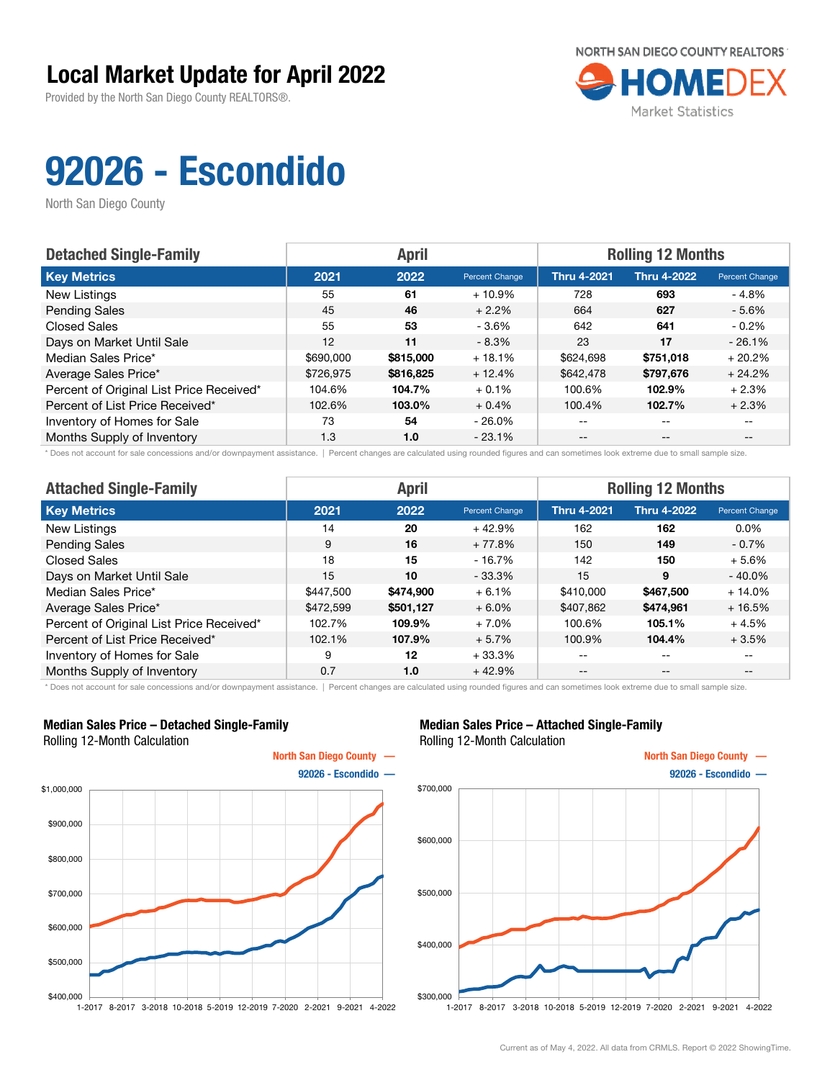Provided by the North San Diego County REALTORS®.



# 92026 - Escondido

North San Diego County

| <b>Detached Single-Family</b>            |           | <b>April</b> |                | <b>Rolling 12 Months</b> |                          |                       |  |
|------------------------------------------|-----------|--------------|----------------|--------------------------|--------------------------|-----------------------|--|
| <b>Key Metrics</b>                       | 2021      | 2022         | Percent Change | <b>Thru 4-2021</b>       | <b>Thru 4-2022</b>       | <b>Percent Change</b> |  |
| New Listings                             | 55        | 61           | $+10.9%$       | 728                      | 693                      | $-4.8%$               |  |
| <b>Pending Sales</b>                     | 45        | 46           | $+2.2%$        | 664                      | 627                      | $-5.6%$               |  |
| <b>Closed Sales</b>                      | 55        | 53           | $-3.6\%$       | 642                      | 641                      | $-0.2\%$              |  |
| Days on Market Until Sale                | 12        | 11           | $-8.3%$        | 23                       | 17                       | $-26.1%$              |  |
| Median Sales Price*                      | \$690,000 | \$815,000    | $+18.1%$       | \$624,698                | \$751,018                | $+20.2%$              |  |
| Average Sales Price*                     | \$726,975 | \$816,825    | $+12.4%$       | \$642,478                | \$797,676                | $+24.2%$              |  |
| Percent of Original List Price Received* | 104.6%    | 104.7%       | $+0.1%$        | 100.6%                   | 102.9%                   | $+2.3%$               |  |
| Percent of List Price Received*          | 102.6%    | 103.0%       | $+0.4%$        | 100.4%                   | 102.7%                   | $+2.3%$               |  |
| Inventory of Homes for Sale              | 73        | 54           | $-26.0\%$      | $- -$                    | $\overline{\phantom{m}}$ |                       |  |
| Months Supply of Inventory               | 1.3       | 1.0          | $-23.1%$       | $- -$                    | $- -$                    |                       |  |

\* Does not account for sale concessions and/or downpayment assistance. | Percent changes are calculated using rounded figures and can sometimes look extreme due to small sample size.

| <b>Attached Single-Family</b>            |           | <b>April</b> |                | <b>Rolling 12 Months</b> |                    |                |  |
|------------------------------------------|-----------|--------------|----------------|--------------------------|--------------------|----------------|--|
| <b>Key Metrics</b>                       | 2021      | 2022         | Percent Change | <b>Thru 4-2021</b>       | <b>Thru 4-2022</b> | Percent Change |  |
| New Listings                             | 14        | 20           | $+42.9%$       | 162                      | 162                | $0.0\%$        |  |
| <b>Pending Sales</b>                     | 9         | 16           | $+77.8%$       | 150                      | 149                | $-0.7\%$       |  |
| Closed Sales                             | 18        | 15           | $-16.7%$       | 142                      | 150                | $+5.6%$        |  |
| Days on Market Until Sale                | 15        | 10           | $-33.3%$       | 15                       | 9                  | $-40.0%$       |  |
| Median Sales Price*                      | \$447.500 | \$474,900    | $+6.1%$        | \$410,000                | \$467,500          | $+14.0%$       |  |
| Average Sales Price*                     | \$472,599 | \$501,127    | $+6.0%$        | \$407,862                | \$474,961          | $+16.5%$       |  |
| Percent of Original List Price Received* | 102.7%    | 109.9%       | $+7.0%$        | 100.6%                   | 105.1%             | $+4.5%$        |  |
| Percent of List Price Received*          | 102.1%    | 107.9%       | $+5.7%$        | 100.9%                   | 104.4%             | $+3.5%$        |  |
| Inventory of Homes for Sale              | 9         | 12           | $+33.3%$       | --                       | $- -$              | $- -$          |  |
| Months Supply of Inventory               | 0.7       | 1.0          | $+42.9%$       | --                       | $- -$              | $- -$          |  |

\* Does not account for sale concessions and/or downpayment assistance. | Percent changes are calculated using rounded figures and can sometimes look extreme due to small sample size.

#### Median Sales Price – Detached Single-Family Rolling 12-Month Calculation



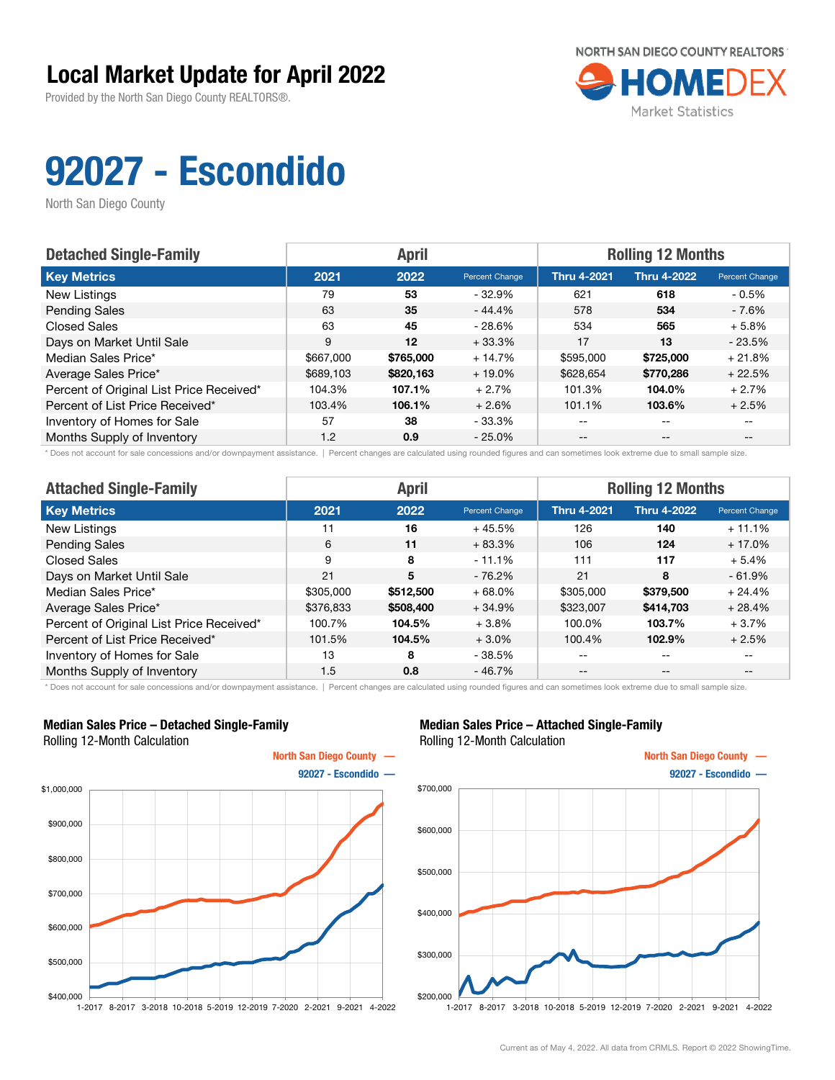Provided by the North San Diego County REALTORS®.



# 92027 - Escondido

North San Diego County

| <b>Detached Single-Family</b>            |           | <b>April</b> |                | <b>Rolling 12 Months</b> |                    |                       |  |
|------------------------------------------|-----------|--------------|----------------|--------------------------|--------------------|-----------------------|--|
| <b>Key Metrics</b>                       | 2021      | 2022         | Percent Change | <b>Thru 4-2021</b>       | <b>Thru 4-2022</b> | <b>Percent Change</b> |  |
| New Listings                             | 79        | 53           | $-32.9\%$      | 621                      | 618                | $-0.5\%$              |  |
| <b>Pending Sales</b>                     | 63        | 35           | $-44.4%$       | 578                      | 534                | - 7.6%                |  |
| <b>Closed Sales</b>                      | 63        | 45           | $-28.6%$       | 534                      | 565                | $+5.8%$               |  |
| Days on Market Until Sale                | 9         | 12           | $+33.3%$       | 17                       | 13                 | $-23.5%$              |  |
| Median Sales Price*                      | \$667,000 | \$765,000    | $+14.7%$       | \$595,000                | \$725,000          | $+21.8%$              |  |
| Average Sales Price*                     | \$689,103 | \$820,163    | $+19.0\%$      | \$628,654                | \$770.286          | $+22.5%$              |  |
| Percent of Original List Price Received* | 104.3%    | 107.1%       | $+2.7%$        | 101.3%                   | 104.0%             | $+2.7%$               |  |
| Percent of List Price Received*          | 103.4%    | 106.1%       | $+2.6%$        | 101.1%                   | 103.6%             | $+2.5%$               |  |
| Inventory of Homes for Sale              | 57        | 38           | $-33.3%$       | --                       | --                 |                       |  |
| Months Supply of Inventory               | 1.2       | 0.9          | $-25.0%$       | $- -$                    | $- -$              | $- -$                 |  |

\* Does not account for sale concessions and/or downpayment assistance. | Percent changes are calculated using rounded figures and can sometimes look extreme due to small sample size.

| <b>Attached Single-Family</b>            |           | <b>April</b> |                | <b>Rolling 12 Months</b> |                    |                |  |
|------------------------------------------|-----------|--------------|----------------|--------------------------|--------------------|----------------|--|
| <b>Key Metrics</b>                       | 2021      | 2022         | Percent Change | <b>Thru 4-2021</b>       | <b>Thru 4-2022</b> | Percent Change |  |
| New Listings                             | 11        | 16           | $+45.5%$       | 126                      | 140                | $+11.1%$       |  |
| <b>Pending Sales</b>                     | 6         | 11           | $+83.3%$       | 106                      | 124                | $+17.0%$       |  |
| Closed Sales                             | 9         | 8            | $-11.1%$       | 111                      | 117                | $+5.4%$        |  |
| Days on Market Until Sale                | 21        | 5            | $-76.2\%$      | 21                       | 8                  | $-61.9%$       |  |
| Median Sales Price*                      | \$305,000 | \$512,500    | $+68.0%$       | \$305,000                | \$379,500          | $+24.4%$       |  |
| Average Sales Price*                     | \$376,833 | \$508,400    | $+34.9%$       | \$323,007                | \$414.703          | $+28.4%$       |  |
| Percent of Original List Price Received* | 100.7%    | 104.5%       | $+3.8%$        | 100.0%                   | 103.7%             | $+3.7%$        |  |
| Percent of List Price Received*          | 101.5%    | 104.5%       | $+3.0%$        | 100.4%                   | 102.9%             | $+2.5%$        |  |
| Inventory of Homes for Sale              | 13        | 8            | - 38.5%        | --                       | $\qquad \qquad -$  | $- -$          |  |
| Months Supply of Inventory               | 1.5       | 0.8          | $-46.7%$       | --                       | $\qquad \qquad -$  | --             |  |

\* Does not account for sale concessions and/or downpayment assistance. | Percent changes are calculated using rounded figures and can sometimes look extreme due to small sample size.

#### Median Sales Price – Detached Single-Family Rolling 12-Month Calculation



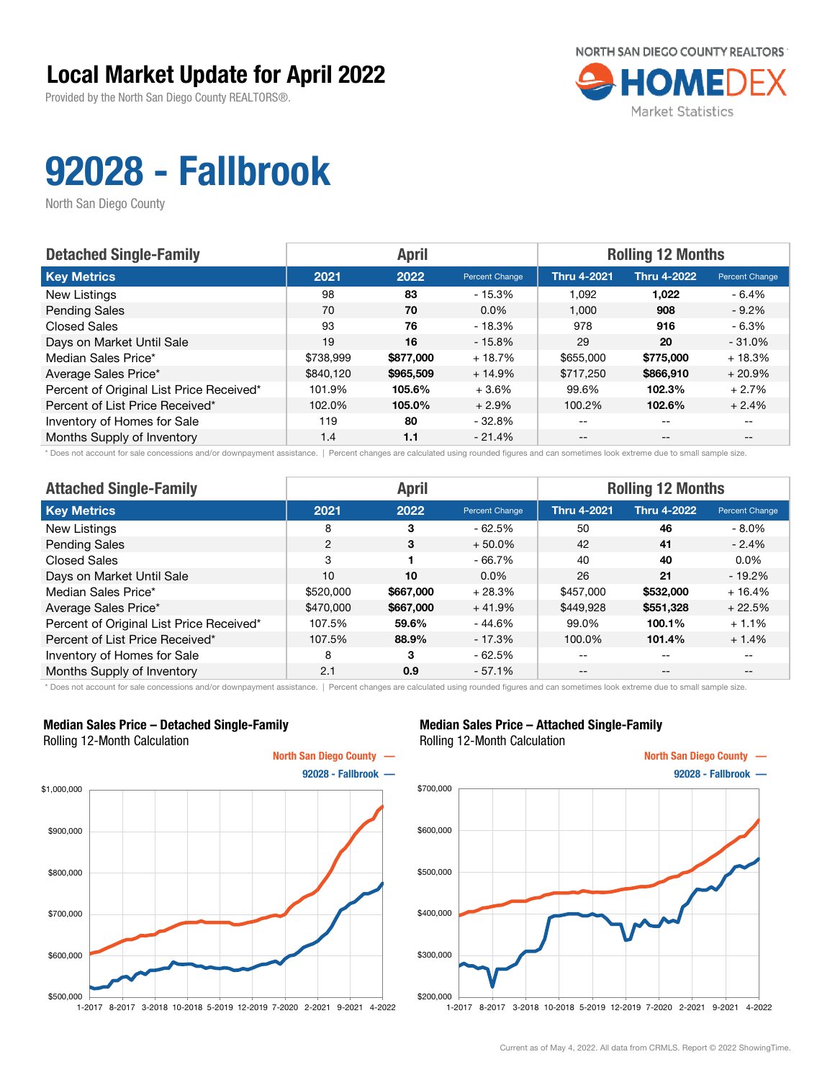Provided by the North San Diego County REALTORS®.



# 92028 - Fallbrook

North San Diego County

| <b>Detached Single-Family</b>            |           | <b>April</b> |                | <b>Rolling 12 Months</b> |                    |                       |  |
|------------------------------------------|-----------|--------------|----------------|--------------------------|--------------------|-----------------------|--|
| <b>Key Metrics</b>                       | 2021      | 2022         | Percent Change | <b>Thru 4-2021</b>       | <b>Thru 4-2022</b> | <b>Percent Change</b> |  |
| New Listings                             | 98        | 83           | - 15.3%        | 1.092                    | 1,022              | $-6.4%$               |  |
| <b>Pending Sales</b>                     | 70        | 70           | $0.0\%$        | 1.000                    | 908                | $-9.2\%$              |  |
| <b>Closed Sales</b>                      | 93        | 76           | - 18.3%        | 978                      | 916                | $-6.3%$               |  |
| Days on Market Until Sale                | 19        | 16           | $-15.8\%$      | 29                       | 20                 | $-31.0%$              |  |
| Median Sales Price*                      | \$738,999 | \$877,000    | $+18.7%$       | \$655,000                | \$775,000          | $+18.3%$              |  |
| Average Sales Price*                     | \$840.120 | \$965,509    | $+14.9%$       | \$717,250                | \$866,910          | $+20.9%$              |  |
| Percent of Original List Price Received* | 101.9%    | 105.6%       | $+3.6%$        | 99.6%                    | 102.3%             | $+2.7%$               |  |
| Percent of List Price Received*          | 102.0%    | 105.0%       | $+2.9%$        | 100.2%                   | 102.6%             | $+2.4%$               |  |
| Inventory of Homes for Sale              | 119       | 80           | - 32.8%        | --                       | --                 |                       |  |
| Months Supply of Inventory               | 1.4       | 1.1          | $-21.4%$       | --                       | $-$                | $- -$                 |  |

\* Does not account for sale concessions and/or downpayment assistance. | Percent changes are calculated using rounded figures and can sometimes look extreme due to small sample size.

| <b>Attached Single-Family</b>            |           | <b>April</b> |                | <b>Rolling 12 Months</b> |                    |                          |  |
|------------------------------------------|-----------|--------------|----------------|--------------------------|--------------------|--------------------------|--|
| <b>Key Metrics</b>                       | 2021      | 2022         | Percent Change | <b>Thru 4-2021</b>       | <b>Thru 4-2022</b> | Percent Change           |  |
| New Listings                             | 8         | 3            | $-62.5%$       | 50                       | 46                 | $-8.0\%$                 |  |
| <b>Pending Sales</b>                     | 2         | 3            | $+50.0\%$      | 42                       | 41                 | $-2.4\%$                 |  |
| Closed Sales                             | 3         |              | $-66.7%$       | 40                       | 40                 | $0.0\%$                  |  |
| Days on Market Until Sale                | 10        | 10           | $0.0\%$        | 26                       | 21                 | $-19.2%$                 |  |
| Median Sales Price*                      | \$520,000 | \$667,000    | $+28.3%$       | \$457,000                | \$532,000          | $+16.4%$                 |  |
| Average Sales Price*                     | \$470,000 | \$667,000    | $+41.9%$       | \$449,928                | \$551,328          | $+22.5%$                 |  |
| Percent of Original List Price Received* | 107.5%    | 59.6%        | $-44.6%$       | 99.0%                    | 100.1%             | $+1.1%$                  |  |
| Percent of List Price Received*          | 107.5%    | 88.9%        | $-17.3%$       | 100.0%                   | 101.4%             | $+1.4%$                  |  |
| Inventory of Homes for Sale              | 8         | 3            | $-62.5%$       | --                       | $- -$              | $\overline{\phantom{m}}$ |  |
| Months Supply of Inventory               | 2.1       | 0.9          | $-57.1%$       | $- -$                    | $- -$              | $- -$                    |  |

\* Does not account for sale concessions and/or downpayment assistance. | Percent changes are calculated using rounded figures and can sometimes look extreme due to small sample size.

#### Median Sales Price – Detached Single-Family Rolling 12-Month Calculation



#### Median Sales Price – Attached Single-Family Rolling 12-Month Calculation



1-2017 8-2017 3-2018 10-2018 5-2019 12-2019 7-2020 2-2021 9-2021 4-2022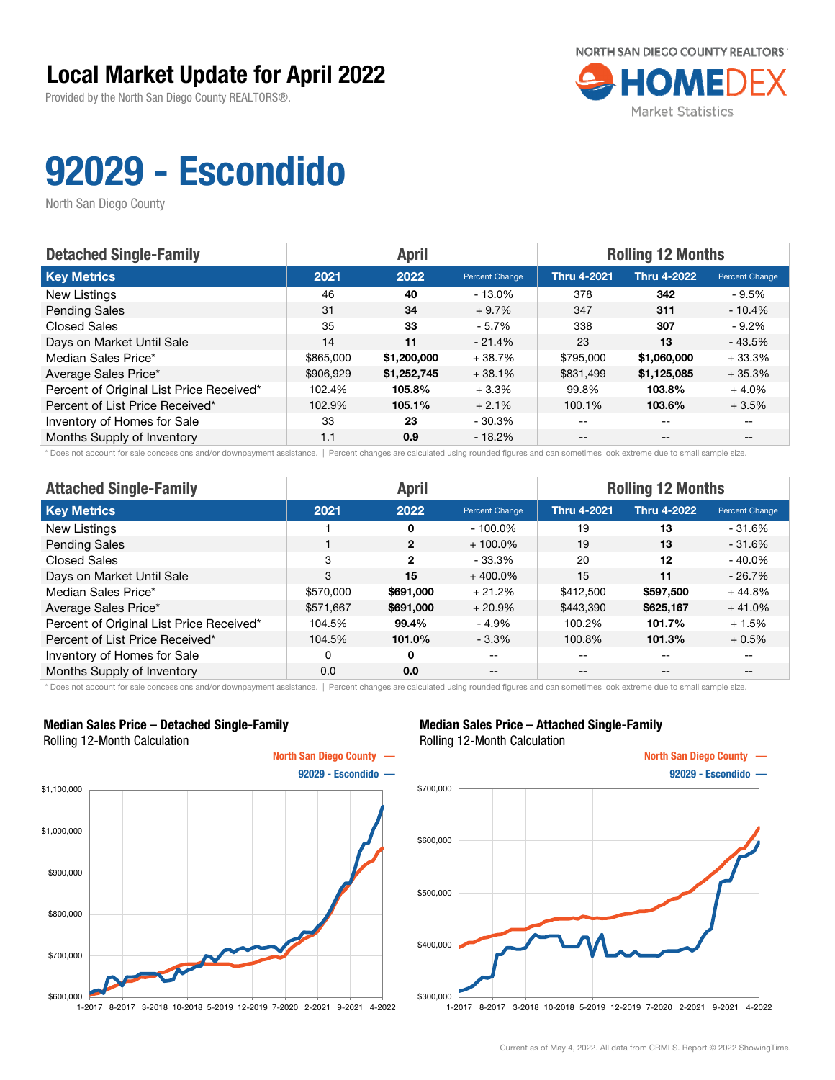Provided by the North San Diego County REALTORS®.



# 92029 - Escondido

North San Diego County

| <b>Detached Single-Family</b>            |           | <b>April</b> |                | <b>Rolling 12 Months</b> |                    |                       |  |
|------------------------------------------|-----------|--------------|----------------|--------------------------|--------------------|-----------------------|--|
| <b>Key Metrics</b>                       | 2021      | 2022         | Percent Change | <b>Thru 4-2021</b>       | <b>Thru 4-2022</b> | <b>Percent Change</b> |  |
| New Listings                             | 46        | 40           | $-13.0\%$      | 378                      | 342                | $-9.5%$               |  |
| <b>Pending Sales</b>                     | 31        | 34           | $+9.7%$        | 347                      | 311                | $-10.4%$              |  |
| <b>Closed Sales</b>                      | 35        | 33           | $-5.7%$        | 338                      | 307                | $-9.2\%$              |  |
| Days on Market Until Sale                | 14        | 11           | $-21.4\%$      | 23                       | 13                 | $-43.5%$              |  |
| Median Sales Price*                      | \$865,000 | \$1,200,000  | $+38.7%$       | \$795,000                | \$1,060,000        | $+33.3%$              |  |
| Average Sales Price*                     | \$906,929 | \$1,252,745  | $+38.1%$       | \$831,499                | \$1,125,085        | $+35.3%$              |  |
| Percent of Original List Price Received* | 102.4%    | 105.8%       | $+3.3%$        | 99.8%                    | 103.8%             | $+4.0%$               |  |
| Percent of List Price Received*          | 102.9%    | 105.1%       | $+2.1%$        | 100.1%                   | 103.6%             | $+3.5%$               |  |
| Inventory of Homes for Sale              | 33        | 23           | - 30.3%        | --                       | --                 |                       |  |
| Months Supply of Inventory               | 1.1       | 0.9          | $-18.2%$       | --                       | $-$                | $- -$                 |  |

\* Does not account for sale concessions and/or downpayment assistance. | Percent changes are calculated using rounded figures and can sometimes look extreme due to small sample size.

| <b>Attached Single-Family</b>            |           | <b>April</b>   |                | <b>Rolling 12 Months</b> |                    |                |  |
|------------------------------------------|-----------|----------------|----------------|--------------------------|--------------------|----------------|--|
| <b>Key Metrics</b>                       | 2021      | 2022           | Percent Change | <b>Thru 4-2021</b>       | <b>Thru 4-2022</b> | Percent Change |  |
| New Listings                             |           | 0              | $-100.0\%$     | 19                       | 13                 | $-31.6%$       |  |
| <b>Pending Sales</b>                     |           | $\overline{2}$ | $+100.0\%$     | 19                       | 13                 | $-31.6%$       |  |
| <b>Closed Sales</b>                      | 3         | $\overline{2}$ | $-33.3\%$      | 20                       | 12                 | $-40.0\%$      |  |
| Days on Market Until Sale                | 3         | 15             | $+400.0\%$     | 15                       | 11                 | $-26.7%$       |  |
| Median Sales Price*                      | \$570,000 | \$691,000      | $+21.2%$       | \$412,500                | \$597,500          | $+44.8%$       |  |
| Average Sales Price*                     | \$571,667 | \$691,000      | $+20.9%$       | \$443,390                | \$625,167          | $+41.0%$       |  |
| Percent of Original List Price Received* | 104.5%    | 99.4%          | $-4.9%$        | 100.2%                   | 101.7%             | $+1.5%$        |  |
| Percent of List Price Received*          | 104.5%    | 101.0%         | $-3.3\%$       | 100.8%                   | 101.3%             | $+0.5%$        |  |
| Inventory of Homes for Sale              | 0         | 0              | $- -$          | --                       | $- -$              | $- -$          |  |
| Months Supply of Inventory               | 0.0       | 0.0            | $- -$          | --                       | $\qquad \qquad -$  | $- -$          |  |

\* Does not account for sale concessions and/or downpayment assistance. | Percent changes are calculated using rounded figures and can sometimes look extreme due to small sample size.

#### Median Sales Price – Detached Single-Family Rolling 12-Month Calculation



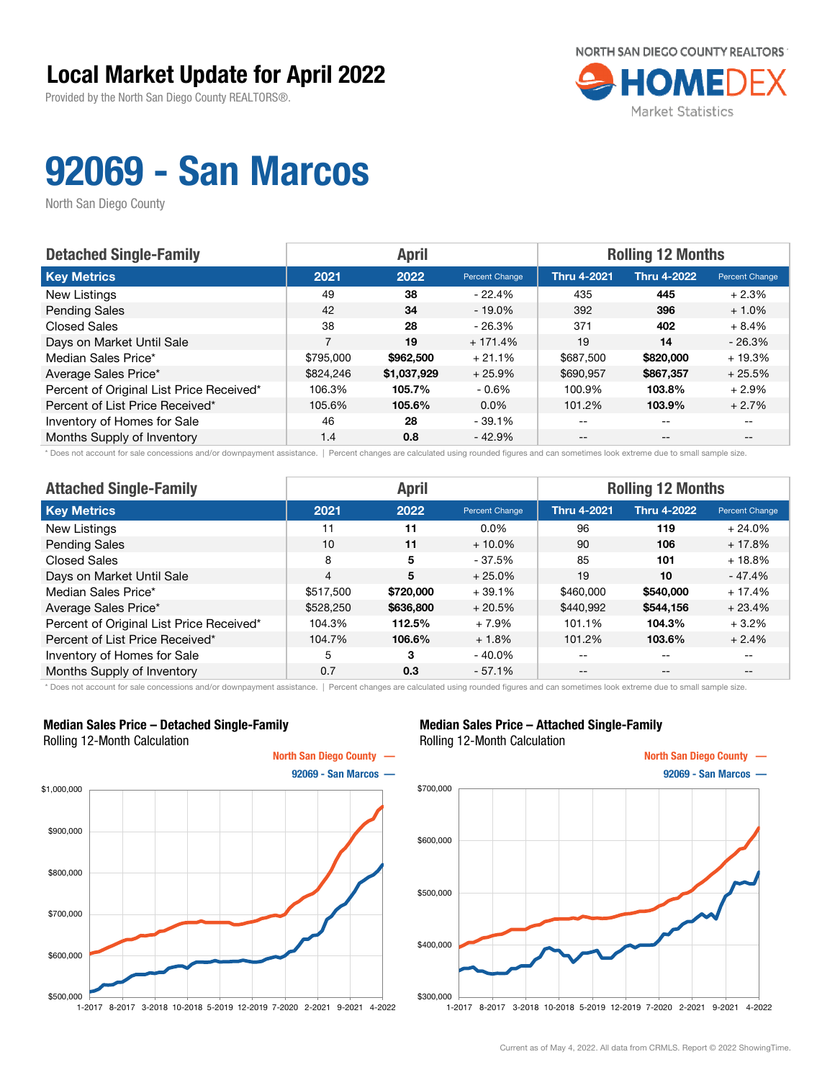Provided by the North San Diego County REALTORS®.



## 92069 - San Marcos

North San Diego County

| <b>Detached Single-Family</b>            |           | <b>April</b> |                | <b>Rolling 12 Months</b> |                    |                       |  |
|------------------------------------------|-----------|--------------|----------------|--------------------------|--------------------|-----------------------|--|
| <b>Key Metrics</b>                       | 2021      | 2022         | Percent Change | <b>Thru 4-2021</b>       | <b>Thru 4-2022</b> | <b>Percent Change</b> |  |
| New Listings                             | 49        | 38           | - 22.4%        | 435                      | 445                | $+2.3%$               |  |
| <b>Pending Sales</b>                     | 42        | 34           | $-19.0\%$      | 392                      | 396                | $+1.0%$               |  |
| <b>Closed Sales</b>                      | 38        | 28           | - 26.3%        | 371                      | 402                | $+8.4%$               |  |
| Days on Market Until Sale                | 7         | 19           | $+171.4%$      | 19                       | 14                 | $-26.3%$              |  |
| Median Sales Price*                      | \$795,000 | \$962,500    | $+21.1%$       | \$687,500                | \$820,000          | $+19.3%$              |  |
| Average Sales Price*                     | \$824,246 | \$1,037,929  | $+25.9%$       | \$690,957                | \$867,357          | $+25.5%$              |  |
| Percent of Original List Price Received* | 106.3%    | 105.7%       | $-0.6\%$       | 100.9%                   | 103.8%             | $+2.9%$               |  |
| Percent of List Price Received*          | 105.6%    | 105.6%       | $0.0\%$        | 101.2%                   | 103.9%             | $+2.7%$               |  |
| Inventory of Homes for Sale              | 46        | 28           | $-39.1%$       | --                       | $-$                |                       |  |
| Months Supply of Inventory               | 1.4       | 0.8          | $-42.9%$       | --                       | $-$                | $- -$                 |  |

\* Does not account for sale concessions and/or downpayment assistance. | Percent changes are calculated using rounded figures and can sometimes look extreme due to small sample size.

| <b>Attached Single-Family</b>            |                | <b>April</b> |                | <b>Rolling 12 Months</b> |                    |                |  |
|------------------------------------------|----------------|--------------|----------------|--------------------------|--------------------|----------------|--|
| <b>Key Metrics</b>                       | 2021           | 2022         | Percent Change | <b>Thru 4-2021</b>       | <b>Thru 4-2022</b> | Percent Change |  |
| New Listings                             | 11             | 11           | $0.0\%$        | 96                       | 119                | $+24.0%$       |  |
| <b>Pending Sales</b>                     | 10             | 11           | $+10.0\%$      | 90                       | 106                | $+17.8%$       |  |
| <b>Closed Sales</b>                      | 8              | 5            | $-37.5%$       | 85                       | 101                | $+18.8%$       |  |
| Days on Market Until Sale                | $\overline{4}$ | 5            | $+25.0%$       | 19                       | 10                 | - 47.4%        |  |
| Median Sales Price*                      | \$517,500      | \$720,000    | $+39.1%$       | \$460,000                | \$540,000          | $+17.4%$       |  |
| Average Sales Price*                     | \$528,250      | \$636,800    | $+20.5%$       | \$440,992                | \$544,156          | $+23.4%$       |  |
| Percent of Original List Price Received* | 104.3%         | 112.5%       | $+7.9%$        | 101.1%                   | 104.3%             | $+3.2%$        |  |
| Percent of List Price Received*          | 104.7%         | 106.6%       | $+1.8%$        | 101.2%                   | 103.6%             | $+2.4%$        |  |
| Inventory of Homes for Sale              | 5              | 3            | $-40.0\%$      | --                       | $- -$              | $- -$          |  |
| Months Supply of Inventory               | 0.7            | 0.3          | $-57.1%$       | --                       | $- -$              | --             |  |

\* Does not account for sale concessions and/or downpayment assistance. | Percent changes are calculated using rounded figures and can sometimes look extreme due to small sample size.

#### Median Sales Price – Detached Single-Family Rolling 12-Month Calculation



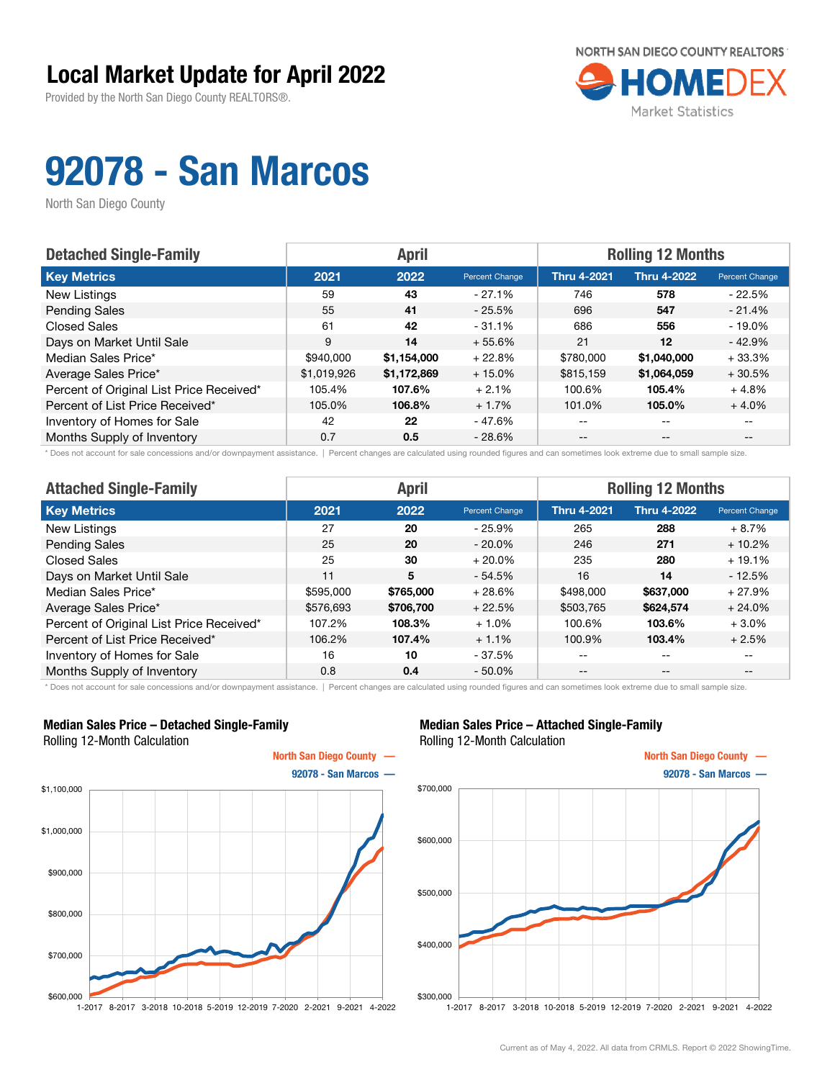Provided by the North San Diego County REALTORS®.



# 92078 - San Marcos

North San Diego County

| <b>Detached Single-Family</b>            | <b>April</b> |             |                | <b>Rolling 12 Months</b> |                    |                |  |
|------------------------------------------|--------------|-------------|----------------|--------------------------|--------------------|----------------|--|
| <b>Key Metrics</b>                       | 2021         | 2022        | Percent Change | <b>Thru 4-2021</b>       | <b>Thru 4-2022</b> | Percent Change |  |
| New Listings                             | 59           | 43          | $-27.1\%$      | 746                      | 578                | $-22.5%$       |  |
| <b>Pending Sales</b>                     | 55           | 41          | $-25.5%$       | 696                      | 547                | $-21.4%$       |  |
| <b>Closed Sales</b>                      | 61           | 42          | $-31.1%$       | 686                      | 556                | $-19.0\%$      |  |
| Days on Market Until Sale                | 9            | 14          | $+55.6%$       | 21                       | 12                 | $-42.9%$       |  |
| Median Sales Price*                      | \$940,000    | \$1,154,000 | $+22.8%$       | \$780,000                | \$1,040,000        | $+33.3%$       |  |
| Average Sales Price*                     | \$1,019,926  | \$1,172,869 | $+15.0%$       | \$815,159                | \$1,064,059        | $+30.5%$       |  |
| Percent of Original List Price Received* | 105.4%       | 107.6%      | $+2.1%$        | 100.6%                   | 105.4%             | $+4.8%$        |  |
| Percent of List Price Received*          | 105.0%       | 106.8%      | $+1.7%$        | 101.0%                   | 105.0%             | $+4.0%$        |  |
| Inventory of Homes for Sale              | 42           | 22          | - 47.6%        | $- -$                    | $-$                |                |  |
| Months Supply of Inventory               | 0.7          | 0.5         | $-28.6%$       | $- -$                    | $- -$              |                |  |

\* Does not account for sale concessions and/or downpayment assistance. | Percent changes are calculated using rounded figures and can sometimes look extreme due to small sample size.

| <b>Attached Single-Family</b>            |           | <b>April</b> |                       | <b>Rolling 12 Months</b> |                    |                |  |
|------------------------------------------|-----------|--------------|-----------------------|--------------------------|--------------------|----------------|--|
| <b>Key Metrics</b>                       | 2021      | 2022         | <b>Percent Change</b> | <b>Thru 4-2021</b>       | <b>Thru 4-2022</b> | Percent Change |  |
| New Listings                             | 27        | 20           | $-25.9%$              | 265                      | 288                | $+8.7%$        |  |
| <b>Pending Sales</b>                     | 25        | 20           | $-20.0\%$             | 246                      | 271                | $+10.2%$       |  |
| <b>Closed Sales</b>                      | 25        | 30           | $+20.0\%$             | 235                      | 280                | $+19.1%$       |  |
| Days on Market Until Sale                | 11        | 5            | $-54.5%$              | 16                       | 14                 | $-12.5%$       |  |
| Median Sales Price*                      | \$595,000 | \$765,000    | $+28.6%$              | \$498,000                | \$637,000          | $+27.9%$       |  |
| Average Sales Price*                     | \$576,693 | \$706,700    | $+22.5%$              | \$503,765                | \$624,574          | $+24.0%$       |  |
| Percent of Original List Price Received* | 107.2%    | 108.3%       | $+1.0%$               | 100.6%                   | 103.6%             | $+3.0%$        |  |
| Percent of List Price Received*          | 106.2%    | 107.4%       | $+1.1%$               | 100.9%                   | 103.4%             | $+2.5%$        |  |
| Inventory of Homes for Sale              | 16        | 10           | $-37.5%$              | --                       | $- -$              | $- -$          |  |
| Months Supply of Inventory               | 0.8       | 0.4          | $-50.0\%$             | --                       | $- -$              | $- -$          |  |

\* Does not account for sale concessions and/or downpayment assistance. | Percent changes are calculated using rounded figures and can sometimes look extreme due to small sample size.

#### Median Sales Price – Detached Single-Family Rolling 12-Month Calculation



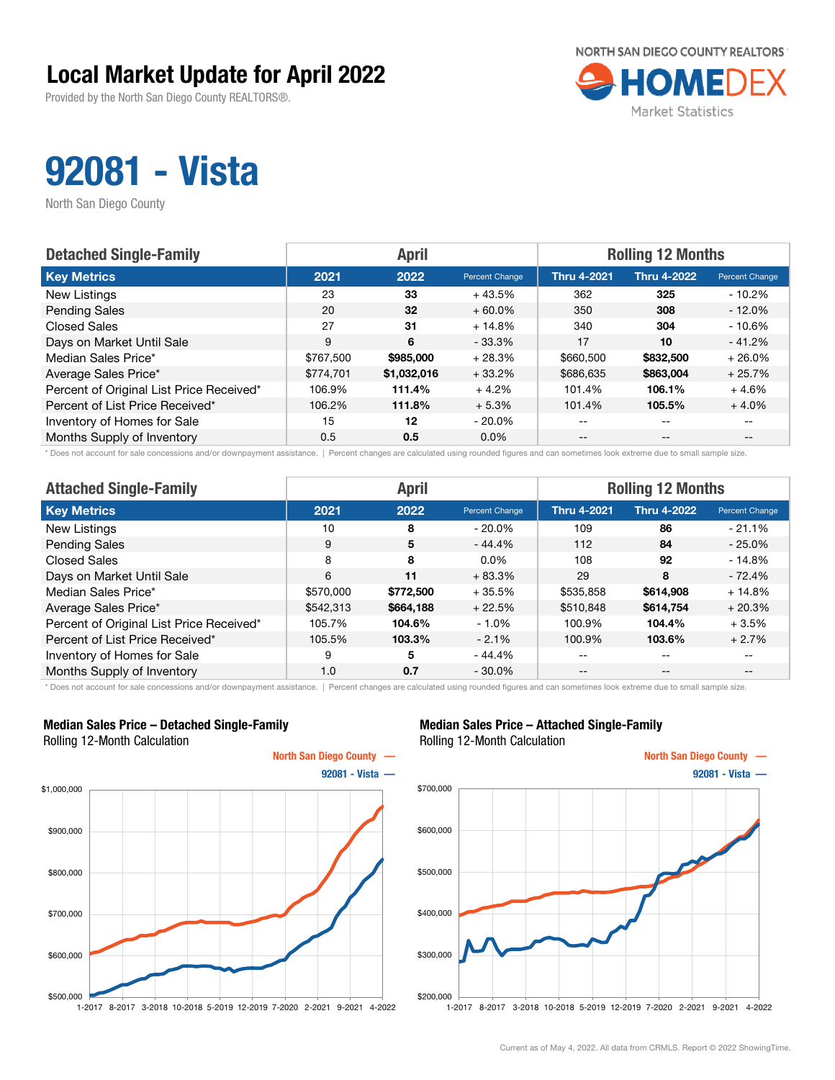Provided by the North San Diego County REALTORS®.



## 92081 - Vista

North San Diego County

| <b>Detached Single-Family</b>            |           | <b>April</b> |                | <b>Rolling 12 Months</b> |                    |                       |  |
|------------------------------------------|-----------|--------------|----------------|--------------------------|--------------------|-----------------------|--|
| <b>Key Metrics</b>                       | 2021      | 2022         | Percent Change | <b>Thru 4-2021</b>       | <b>Thru 4-2022</b> | <b>Percent Change</b> |  |
| New Listings                             | 23        | 33           | $+43.5%$       | 362                      | 325                | $-10.2%$              |  |
| <b>Pending Sales</b>                     | 20        | 32           | $+60.0\%$      | 350                      | 308                | $-12.0\%$             |  |
| <b>Closed Sales</b>                      | 27        | 31           | $+14.8%$       | 340                      | 304                | $-10.6%$              |  |
| Days on Market Until Sale                | 9         | 6            | $-33.3\%$      | 17                       | 10                 | $-41.2%$              |  |
| Median Sales Price*                      | \$767.500 | \$985,000    | $+28.3%$       | \$660,500                | \$832,500          | $+26.0%$              |  |
| Average Sales Price*                     | \$774.701 | \$1,032,016  | $+33.2%$       | \$686,635                | \$863,004          | $+25.7%$              |  |
| Percent of Original List Price Received* | 106.9%    | 111.4%       | $+4.2%$        | 101.4%                   | 106.1%             | $+4.6%$               |  |
| Percent of List Price Received*          | 106.2%    | 111.8%       | $+5.3%$        | 101.4%                   | 105.5%             | $+4.0%$               |  |
| Inventory of Homes for Sale              | 15        | 12           | $-20.0\%$      | $- -$                    | $-$                | $- -$                 |  |
| Months Supply of Inventory               | 0.5       | 0.5          | $0.0\%$        | $- -$                    | $- -$              |                       |  |

\* Does not account for sale concessions and/or downpayment assistance. | Percent changes are calculated using rounded figures and can sometimes look extreme due to small sample size.

| <b>Attached Single-Family</b>            | <b>April</b> |           |                       | <b>Rolling 12 Months</b> |                    |                |  |
|------------------------------------------|--------------|-----------|-----------------------|--------------------------|--------------------|----------------|--|
| <b>Key Metrics</b>                       | 2021         | 2022      | <b>Percent Change</b> | <b>Thru 4-2021</b>       | <b>Thru 4-2022</b> | Percent Change |  |
| New Listings                             | 10           | 8         | $-20.0\%$             | 109                      | 86                 | $-21.1%$       |  |
| <b>Pending Sales</b>                     | 9            | 5         | $-44.4%$              | 112                      | 84                 | $-25.0\%$      |  |
| <b>Closed Sales</b>                      | 8            | 8         | $0.0\%$               | 108                      | 92                 | - 14.8%        |  |
| Days on Market Until Sale                | 6            | 11        | $+83.3%$              | 29                       | 8                  | $-72.4%$       |  |
| Median Sales Price*                      | \$570,000    | \$772,500 | $+35.5%$              | \$535.858                | \$614,908          | $+14.8%$       |  |
| Average Sales Price*                     | \$542,313    | \$664,188 | $+22.5%$              | \$510,848                | \$614.754          | $+20.3%$       |  |
| Percent of Original List Price Received* | 105.7%       | 104.6%    | $-1.0\%$              | 100.9%                   | 104.4%             | $+3.5%$        |  |
| Percent of List Price Received*          | 105.5%       | 103.3%    | $-2.1%$               | 100.9%                   | 103.6%             | $+2.7%$        |  |
| Inventory of Homes for Sale              | 9            | 5         | $-44.4%$              | $- -$                    | $- -$              | $- -$          |  |
| Months Supply of Inventory               | 1.0          | 0.7       | $-30.0\%$             | $- -$                    | --                 | --             |  |

\* Does not account for sale concessions and/or downpayment assistance. | Percent changes are calculated using rounded figures and can sometimes look extreme due to small sample size.

#### Median Sales Price – Detached Single-Family Rolling 12-Month Calculation



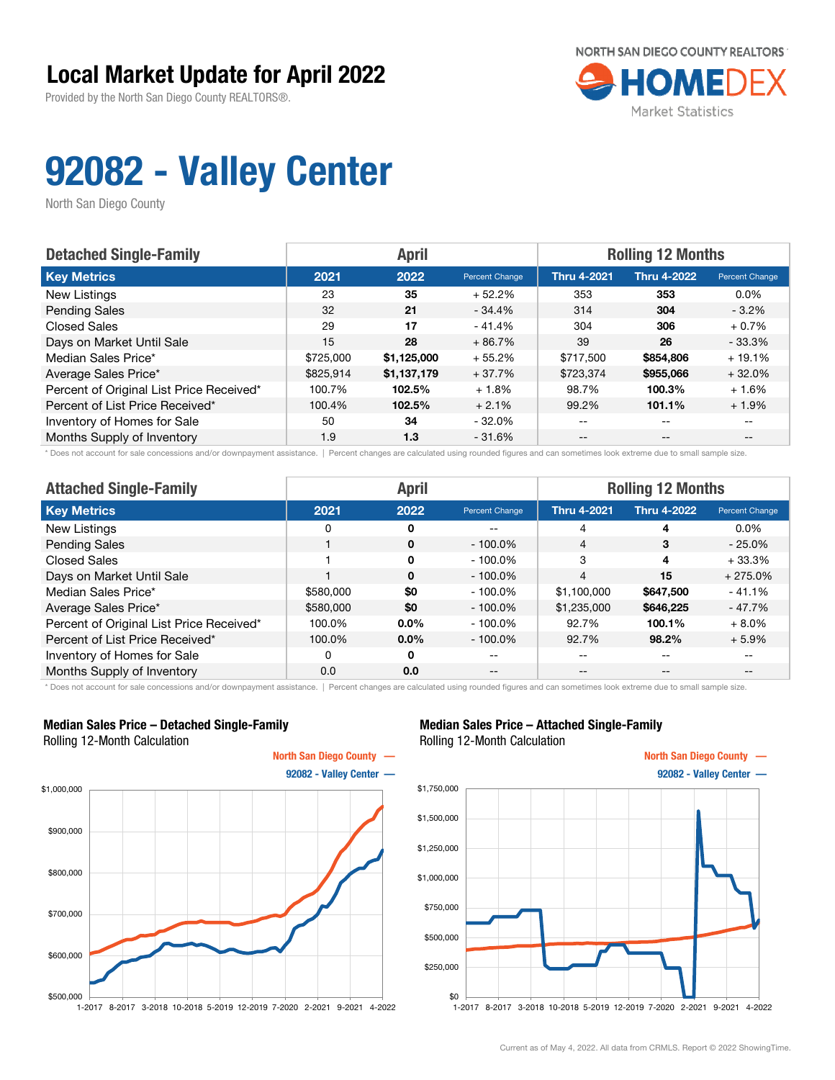Provided by the North San Diego County REALTORS®.



## 92082 - Valley Center

North San Diego County

| <b>Detached Single-Family</b>            |           | <b>April</b> |                | <b>Rolling 12 Months</b> |                    |                          |  |
|------------------------------------------|-----------|--------------|----------------|--------------------------|--------------------|--------------------------|--|
| <b>Key Metrics</b>                       | 2021      | 2022         | Percent Change | <b>Thru 4-2021</b>       | <b>Thru 4-2022</b> | Percent Change           |  |
| New Listings                             | 23        | 35           | $+52.2%$       | 353                      | 353                | $0.0\%$                  |  |
| <b>Pending Sales</b>                     | 32        | 21           | $-34.4%$       | 314                      | 304                | $-3.2\%$                 |  |
| <b>Closed Sales</b>                      | 29        | 17           | $-41.4%$       | 304                      | 306                | $+0.7%$                  |  |
| Days on Market Until Sale                | 15        | 28           | $+86.7%$       | 39                       | 26                 | $-33.3%$                 |  |
| Median Sales Price*                      | \$725,000 | \$1,125,000  | $+55.2%$       | \$717,500                | \$854,806          | $+19.1%$                 |  |
| Average Sales Price*                     | \$825.914 | \$1,137,179  | $+37.7%$       | \$723,374                | \$955,066          | $+32.0%$                 |  |
| Percent of Original List Price Received* | 100.7%    | 102.5%       | $+1.8%$        | 98.7%                    | 100.3%             | $+1.6%$                  |  |
| Percent of List Price Received*          | 100.4%    | 102.5%       | $+2.1%$        | 99.2%                    | 101.1%             | $+1.9%$                  |  |
| Inventory of Homes for Sale              | 50        | 34           | $-32.0%$       | --                       | --                 |                          |  |
| Months Supply of Inventory               | 1.9       | 1.3          | $-31.6%$       | $- -$                    | $- -$              | $\overline{\phantom{m}}$ |  |

\* Does not account for sale concessions and/or downpayment assistance. | Percent changes are calculated using rounded figures and can sometimes look extreme due to small sample size.

| <b>Attached Single-Family</b>            | <b>April</b> |          |                | <b>Rolling 12 Months</b> |                    |                |  |
|------------------------------------------|--------------|----------|----------------|--------------------------|--------------------|----------------|--|
| <b>Key Metrics</b>                       | 2021         | 2022     | Percent Change | <b>Thru 4-2021</b>       | <b>Thru 4-2022</b> | Percent Change |  |
| New Listings                             | 0            | 0        | --             | 4                        | 4                  | $0.0\%$        |  |
| <b>Pending Sales</b>                     |              | $\Omega$ | $-100.0\%$     | $\overline{4}$           | 3                  | $-25.0\%$      |  |
| <b>Closed Sales</b>                      |              | 0        | $-100.0\%$     | 3                        | 4                  | $+33.3%$       |  |
| Days on Market Until Sale                |              | $\Omega$ | $-100.0\%$     | $\overline{4}$           | 15                 | $+275.0%$      |  |
| Median Sales Price*                      | \$580,000    | \$0      | $-100.0\%$     | \$1,100,000              | \$647,500          | $-41.1%$       |  |
| Average Sales Price*                     | \$580,000    | \$0      | $-100.0\%$     | \$1,235,000              | \$646,225          | - 47.7%        |  |
| Percent of Original List Price Received* | 100.0%       | $0.0\%$  | $-100.0\%$     | 92.7%                    | 100.1%             | $+8.0\%$       |  |
| Percent of List Price Received*          | 100.0%       | $0.0\%$  | $-100.0\%$     | 92.7%                    | 98.2%              | $+5.9\%$       |  |
| Inventory of Homes for Sale              | 0            | 0        | --             | --                       | $- -$              | $- -$          |  |
| Months Supply of Inventory               | 0.0          | 0.0      | $- -$          | --                       | --                 | --             |  |

\* Does not account for sale concessions and/or downpayment assistance. | Percent changes are calculated using rounded figures and can sometimes look extreme due to small sample size.

#### Median Sales Price – Detached Single-Family Rolling 12-Month Calculation



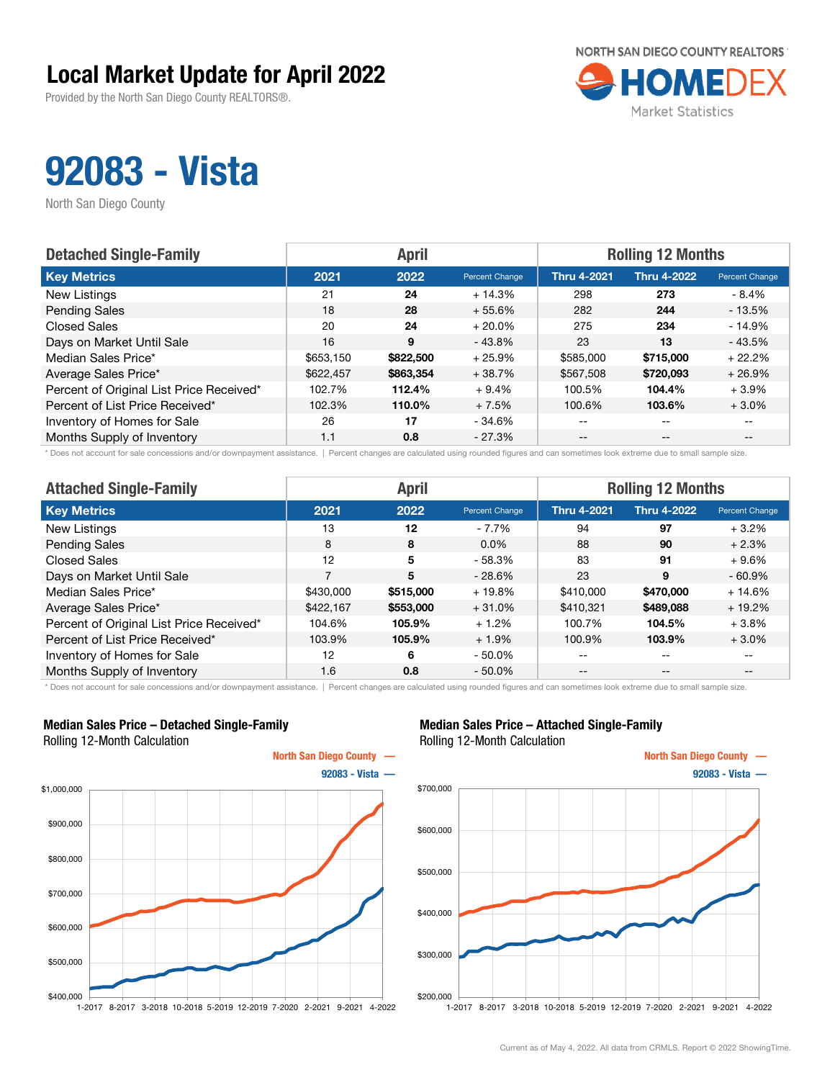Provided by the North San Diego County REALTORS®.



## 92083 - Vista

North San Diego County

| <b>Detached Single-Family</b>            |           | <b>April</b> |                | <b>Rolling 12 Months</b> |                    |                       |  |
|------------------------------------------|-----------|--------------|----------------|--------------------------|--------------------|-----------------------|--|
| <b>Key Metrics</b>                       | 2021      | 2022         | Percent Change | <b>Thru 4-2021</b>       | <b>Thru 4-2022</b> | <b>Percent Change</b> |  |
| New Listings                             | 21        | 24           | $+14.3%$       | 298                      | 273                | - 8.4%                |  |
| <b>Pending Sales</b>                     | 18        | 28           | $+55.6%$       | 282                      | 244                | $-13.5%$              |  |
| <b>Closed Sales</b>                      | 20        | 24           | $+20.0%$       | 275                      | 234                | $-14.9%$              |  |
| Days on Market Until Sale                | 16        | 9            | $-43.8%$       | 23                       | 13                 | $-43.5%$              |  |
| Median Sales Price*                      | \$653,150 | \$822,500    | $+25.9%$       | \$585,000                | \$715,000          | $+22.2%$              |  |
| Average Sales Price*                     | \$622,457 | \$863,354    | $+38.7%$       | \$567,508                | \$720,093          | $+26.9%$              |  |
| Percent of Original List Price Received* | 102.7%    | 112.4%       | $+9.4%$        | 100.5%                   | 104.4%             | $+3.9%$               |  |
| Percent of List Price Received*          | 102.3%    | 110.0%       | $+7.5%$        | 100.6%                   | 103.6%             | $+3.0%$               |  |
| Inventory of Homes for Sale              | 26        | 17           | - 34.6%        | --                       | $- -$              | $- -$                 |  |
| Months Supply of Inventory               | 1.1       | 0.8          | $-27.3%$       | $- -$                    | $- -$              |                       |  |

\* Does not account for sale concessions and/or downpayment assistance. | Percent changes are calculated using rounded figures and can sometimes look extreme due to small sample size.

| <b>Attached Single-Family</b>            |           | <b>April</b> |                | <b>Rolling 12 Months</b> |                    |                          |  |
|------------------------------------------|-----------|--------------|----------------|--------------------------|--------------------|--------------------------|--|
| <b>Key Metrics</b>                       | 2021      | 2022         | Percent Change | <b>Thru 4-2021</b>       | <b>Thru 4-2022</b> | Percent Change           |  |
| New Listings                             | 13        | 12           | $-7.7\%$       | 94                       | 97                 | $+3.2%$                  |  |
| <b>Pending Sales</b>                     | 8         | 8            | $0.0\%$        | 88                       | 90                 | $+2.3%$                  |  |
| <b>Closed Sales</b>                      | 12        | 5            | $-58.3%$       | 83                       | 91                 | $+9.6%$                  |  |
| Days on Market Until Sale                | 7         | 5            | $-28.6%$       | 23                       | 9                  | $-60.9%$                 |  |
| Median Sales Price*                      | \$430,000 | \$515,000    | $+19.8%$       | \$410,000                | \$470,000          | $+14.6%$                 |  |
| Average Sales Price*                     | \$422,167 | \$553,000    | $+31.0%$       | \$410,321                | \$489,088          | $+19.2%$                 |  |
| Percent of Original List Price Received* | 104.6%    | 105.9%       | $+1.2%$        | 100.7%                   | 104.5%             | $+3.8\%$                 |  |
| Percent of List Price Received*          | 103.9%    | 105.9%       | $+1.9%$        | 100.9%                   | 103.9%             | $+3.0%$                  |  |
| Inventory of Homes for Sale              | 12        | 6            | $-50.0\%$      | --                       | $- -$              | $\overline{\phantom{m}}$ |  |
| Months Supply of Inventory               | 1.6       | 0.8          | $-50.0\%$      | $- -$                    | $\qquad \qquad -$  | $- -$                    |  |

\* Does not account for sale concessions and/or downpayment assistance. | Percent changes are calculated using rounded figures and can sometimes look extreme due to small sample size.

#### Median Sales Price – Detached Single-Family Rolling 12-Month Calculation